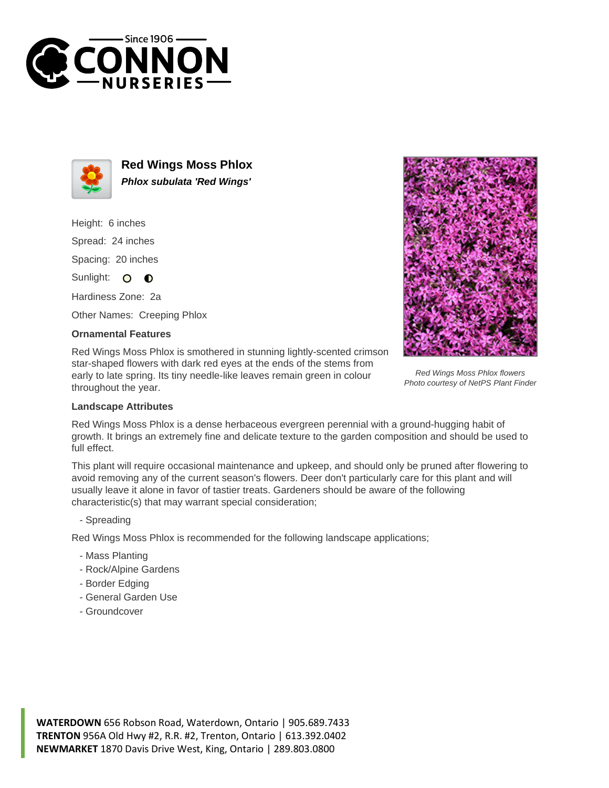



**Red Wings Moss Phlox Phlox subulata 'Red Wings'**

Height: 6 inches Spread: 24 inches Spacing: 20 inches Sunlight: O O

Hardiness Zone: 2a

Other Names: Creeping Phlox

## **Ornamental Features**

Red Wings Moss Phlox is smothered in stunning lightly-scented crimson star-shaped flowers with dark red eyes at the ends of the stems from early to late spring. Its tiny needle-like leaves remain green in colour throughout the year.



Red Wings Moss Phlox flowers Photo courtesy of NetPS Plant Finder

## **Landscape Attributes**

Red Wings Moss Phlox is a dense herbaceous evergreen perennial with a ground-hugging habit of growth. It brings an extremely fine and delicate texture to the garden composition and should be used to full effect.

This plant will require occasional maintenance and upkeep, and should only be pruned after flowering to avoid removing any of the current season's flowers. Deer don't particularly care for this plant and will usually leave it alone in favor of tastier treats. Gardeners should be aware of the following characteristic(s) that may warrant special consideration;

- Spreading

Red Wings Moss Phlox is recommended for the following landscape applications;

- Mass Planting
- Rock/Alpine Gardens
- Border Edging
- General Garden Use
- Groundcover

**WATERDOWN** 656 Robson Road, Waterdown, Ontario | 905.689.7433 **TRENTON** 956A Old Hwy #2, R.R. #2, Trenton, Ontario | 613.392.0402 **NEWMARKET** 1870 Davis Drive West, King, Ontario | 289.803.0800